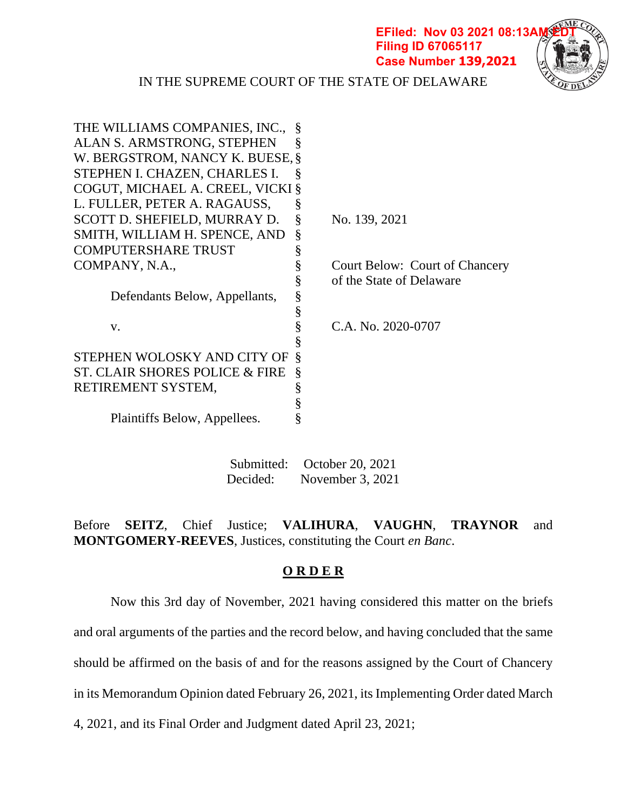**EFiled: Nov 03 2021 08:13AM Filing ID 67065117 Case Number 139,2021**



IN THE SUPREME COURT OF THE STATE OF DELAWARE

| Ş    |                                                                                                                                     |
|------|-------------------------------------------------------------------------------------------------------------------------------------|
|      |                                                                                                                                     |
| Ş    |                                                                                                                                     |
|      |                                                                                                                                     |
| §    |                                                                                                                                     |
| §    | No. 139, 2021                                                                                                                       |
| §    |                                                                                                                                     |
| §    |                                                                                                                                     |
| ş    | Court Below: Court of Chancery                                                                                                      |
| §    | of the State of Delaware                                                                                                            |
| $\S$ |                                                                                                                                     |
| $\S$ |                                                                                                                                     |
| §    | C.A. No. 2020-0707                                                                                                                  |
| §    |                                                                                                                                     |
| Ş    |                                                                                                                                     |
| Ş    |                                                                                                                                     |
| ş    |                                                                                                                                     |
| $\S$ |                                                                                                                                     |
| ş    |                                                                                                                                     |
|      | THE WILLIAMS COMPANIES, INC.,<br>W. BERGSTROM, NANCY K. BUESE, §<br>COGUT, MICHAEL A. CREEL, VICKI §<br>STEPHEN WOLOSKY AND CITY OF |

Submitted: October 20, 2021 Decided: November 3, 2021

Before **SEITZ**, Chief Justice; **VALIHURA**, **VAUGHN**, **TRAYNOR** and **MONTGOMERY-REEVES**, Justices, constituting the Court *en Banc*.

## **O R D E R**

Now this 3rd day of November, 2021 having considered this matter on the briefs

and oral arguments of the parties and the record below, and having concluded that the same

should be affirmed on the basis of and for the reasons assigned by the Court of Chancery

in its Memorandum Opinion dated February 26, 2021, its Implementing Order dated March

4, 2021, and its Final Order and Judgment dated April 23, 2021;